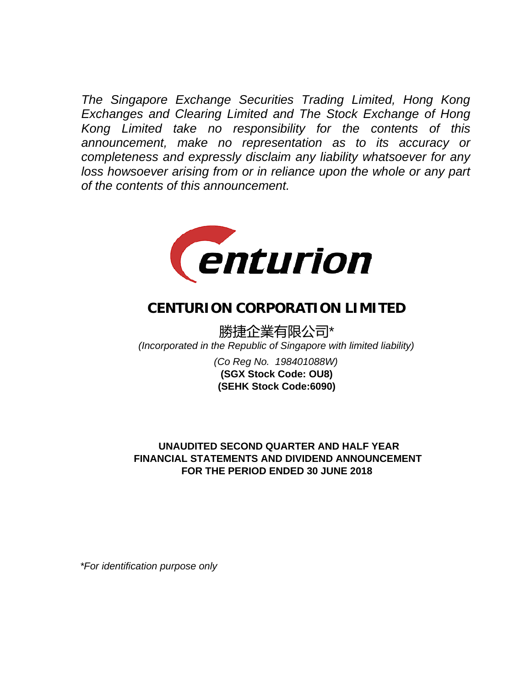*The Singapore Exchange Securities Trading Limited, Hong Kong Exchanges and Clearing Limited and The Stock Exchange of Hong Kong Limited take no responsibility for the contents of this announcement, make no representation as to its accuracy or completeness and expressly disclaim any liability whatsoever for any loss howsoever arising from or in reliance upon the whole or any part of the contents of this announcement.*



# **CENTURION CORPORATION LIMITED**

勝捷企業有限公司\* *(Incorporated in the Republic of Singapore with limited liability)*

> *(Co Reg No. 198401088W)* **(SEHK Stock Code:6090) (SGX Stock Code: OU8)**

# **UNAUDITED SECOND QUARTER AND HALF YEAR FOR THE PERIOD ENDED 30 JUNE 2018 FINANCIAL STATEMENTS AND DIVIDEND ANNOUNCEMENT**

*\*For identification purpose only*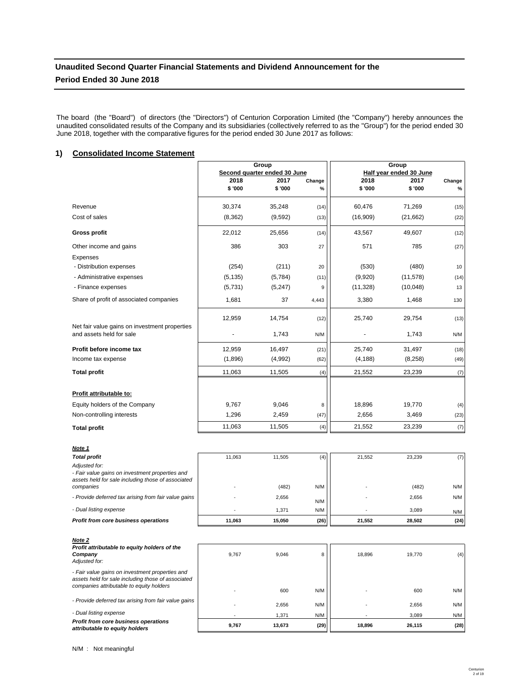# **Unaudited Second Quarter Financial Statements and Dividend Announcement for the Period Ended 30 June 2018**

The board (the "Board") of directors (the "Directors") of Centurion Corporation Limited (the "Company") hereby announces the unaudited consolidated results of the Company and its subsidiaries (collectively referred to as the "Group") for the period ended 30 June 2018, together with the comparative figures for the period ended 30 June 2017 as follows:

# **1) Consolidated Income Statement**

|                                                                           | Group    |                              |        | Group     |                         |        |
|---------------------------------------------------------------------------|----------|------------------------------|--------|-----------|-------------------------|--------|
|                                                                           |          | Second quarter ended 30 June |        |           | Half vear ended 30 June |        |
|                                                                           | 2018     | 2017                         | Change | 2018      | 2017                    | Change |
|                                                                           | \$'000   | \$ '000                      | %      | \$ '000   | \$ '000                 | $\%$   |
| Revenue                                                                   | 30,374   | 35,248                       | (14)   | 60,476    | 71,269                  | (15)   |
| Cost of sales                                                             | (8, 362) | (9,592)                      | (13)   | (16,909)  | (21, 662)               | (22)   |
| <b>Gross profit</b>                                                       | 22,012   | 25,656                       | (14)   | 43,567    | 49,607                  | (12)   |
| Other income and gains                                                    | 386      | 303                          | 27     | 571       | 785                     | (27)   |
| <b>Expenses</b>                                                           |          |                              |        |           |                         |        |
| - Distribution expenses                                                   | (254)    | (211)                        | 20     | (530)     | (480)                   | 10     |
| - Administrative expenses                                                 | (5, 135) | (5,784)                      | (11)   | (9,920)   | (11, 578)               | (14)   |
| - Finance expenses                                                        | (5,731)  | (5,247)                      | 9      | (11, 328) | (10,048)                | 13     |
| Share of profit of associated companies                                   | 1,681    | 37                           | 4,443  | 3,380     | 1,468                   | 130    |
|                                                                           | 12,959   | 14,754                       | (12)   | 25,740    | 29,754                  | (13)   |
| Net fair value gains on investment properties<br>and assets held for sale |          | 1,743                        | N/M    |           | 1,743                   | N/M    |
| Profit before income tax                                                  | 12,959   | 16.497                       | (21)   | 25,740    | 31,497                  | (18)   |
| Income tax expense                                                        | (1,896)  | (4,992)                      | (62)   | (4, 188)  | (8, 258)                | (49)   |
| <b>Total profit</b>                                                       | 11,063   | 11,505                       | (4)    | 21,552    | 23,239                  | (7)    |
|                                                                           |          |                              |        |           |                         |        |
| Profit attributable to:                                                   |          |                              |        |           |                         |        |
| Equity holders of the Company                                             | 9,767    | 9,046                        | 8      | 18,896    | 19,770                  | (4)    |
| Non-controlling interests                                                 | 1,296    | 2,459                        | (47)   | 2,656     | 3,469                   | (23)   |
| <b>Total profit</b>                                                       | 11,063   | 11,505                       | (4)    | 21,552    | 23,239                  | (7)    |

| Note 1                                                                                                                 |        |        |      |        |        |      |
|------------------------------------------------------------------------------------------------------------------------|--------|--------|------|--------|--------|------|
| <b>Total profit</b>                                                                                                    | 11.063 | 11.505 | (4)  | 21.552 | 23,239 | (7)  |
| Adjusted for:<br>- Fair value gains on investment properties and<br>assets held for sale including those of associated |        |        |      |        |        |      |
| companies                                                                                                              |        | (482)  | N/M  |        | (482)  | N/M  |
| - Provide deferred tax arising from fair value gains                                                                   |        | 2,656  | N/M  |        | 2,656  | N/M  |
| - Dual listing expense                                                                                                 |        | 1,371  | N/M  |        | 3,089  | N/M  |
| Profit from core business operations                                                                                   | 11.063 | 15.050 | (26) | 21.552 | 28,502 | (24) |
|                                                                                                                        |        |        |      |        |        |      |

| Note 2<br>Profit attributable to equity holders of the<br>Company<br>Adjusted for:                                                                | 9.767 | 9.046  | 8    | 18.896 | 19.770 | (4)  |
|---------------------------------------------------------------------------------------------------------------------------------------------------|-------|--------|------|--------|--------|------|
| - Fair value gains on investment properties and<br>assets held for sale including those of associated<br>companies attributable to equity holders |       |        |      |        |        |      |
|                                                                                                                                                   |       | 600    | N/M  |        | 600    | N/M  |
| - Provide deferred tax arising from fair value gains                                                                                              |       | 2.656  | N/M  |        | 2.656  | N/M  |
| - Dual listing expense                                                                                                                            |       | 1,371  | N/M  |        | 3.089  | N/M  |
| Profit from core business operations<br>attributable to equity holders                                                                            | 9,767 | 13.673 | (29) | 18.896 | 26.115 | (28) |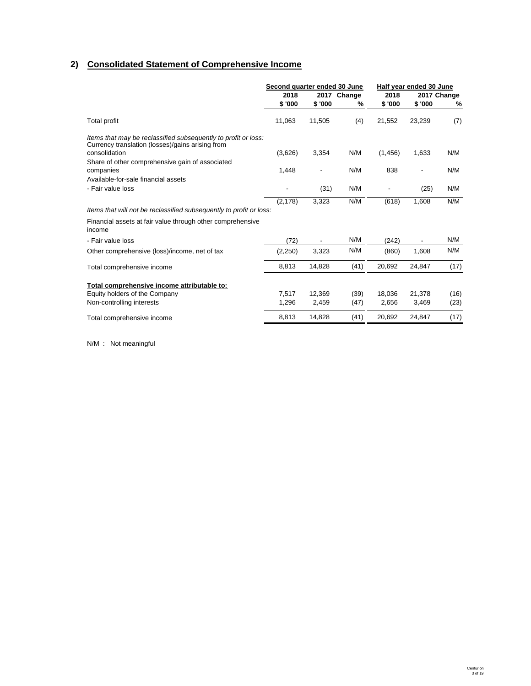# **2) Consolidated Statement of Comprehensive Income**

|                                                                                                                    | Second quarter ended 30 June |                          |             | Half year ended 30 June |                          |             |
|--------------------------------------------------------------------------------------------------------------------|------------------------------|--------------------------|-------------|-------------------------|--------------------------|-------------|
|                                                                                                                    | 2018                         |                          | 2017 Change | 2018                    |                          | 2017 Change |
|                                                                                                                    | \$ '000                      | \$'000                   | $\%$        | \$'000                  | \$'000                   | %           |
| <b>Total profit</b>                                                                                                | 11,063                       | 11,505                   | (4)         | 21.552                  | 23,239                   | (7)         |
| Items that may be reclassified subsequently to profit or loss:<br>Currency translation (losses)/gains arising from |                              |                          |             |                         |                          |             |
| consolidation                                                                                                      | (3,626)                      | 3,354                    | N/M         | (1, 456)                | 1,633                    | N/M         |
| Share of other comprehensive gain of associated                                                                    |                              |                          |             |                         |                          |             |
| companies                                                                                                          | 1,448                        | $\overline{\phantom{a}}$ | N/M         | 838                     | $\overline{\phantom{a}}$ | N/M         |
| Available-for-sale financial assets                                                                                |                              |                          |             |                         |                          |             |
| - Fair value loss                                                                                                  |                              | (31)                     | N/M         |                         | (25)                     | N/M         |
|                                                                                                                    | (2, 178)                     | 3,323                    | N/M         | (618)                   | 1,608                    | N/M         |
| Items that will not be reclassified subsequently to profit or loss:                                                |                              |                          |             |                         |                          |             |
| Financial assets at fair value through other comprehensive<br>income                                               |                              |                          |             |                         |                          |             |
| - Fair value loss                                                                                                  | (72)                         |                          | N/M         | (242)                   |                          | N/M         |
| Other comprehensive (loss)/income, net of tax                                                                      | (2,250)                      | 3,323                    | N/M         | (860)                   | 1,608                    | N/M         |
| Total comprehensive income                                                                                         | 8,813                        | 14,828                   | (41)        | 20,692                  | 24,847                   | (17)        |
| Total comprehensive income attributable to:                                                                        |                              |                          |             |                         |                          |             |
| Equity holders of the Company                                                                                      | 7,517                        | 12,369                   | (39)        | 18,036                  | 21,378                   | (16)        |
| Non-controlling interests                                                                                          | 1,296                        | 2,459                    | (47)        | 2,656                   | 3,469                    | (23)        |
| Total comprehensive income                                                                                         | 8,813                        | 14,828                   | (41)        | 20,692                  | 24.847                   | (17)        |

N/M : Not meaningful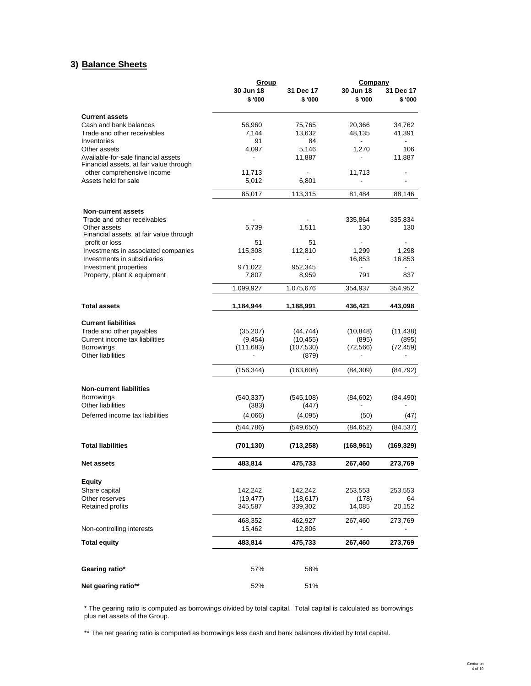# **3) Balance Sheets**

|                                                       | Group               |                      | Company              |                      |  |
|-------------------------------------------------------|---------------------|----------------------|----------------------|----------------------|--|
|                                                       | 30 Jun 18<br>\$'000 | 31 Dec 17<br>\$ '000 | 30 Jun 18<br>\$ '000 | 31 Dec 17<br>\$ '000 |  |
| <b>Current assets</b>                                 |                     |                      |                      |                      |  |
| Cash and bank balances                                | 56,960              | 75,765               | 20,366               | 34,762               |  |
| Trade and other receivables                           | 7.144               | 13,632               | 48,135               | 41,391               |  |
| Inventories                                           | 91                  | 84                   |                      |                      |  |
| Other assets<br>Available-for-sale financial assets   | 4,097               | 5,146<br>11,887      | 1,270                | 106<br>11,887        |  |
| Financial assets, at fair value through               |                     |                      |                      |                      |  |
| other comprehensive income                            | 11,713              |                      | 11,713               |                      |  |
| Assets held for sale                                  | 5,012               | 6,801                |                      |                      |  |
|                                                       | 85,017              | 113,315              | 81,484               | 88,146               |  |
| <b>Non-current assets</b>                             |                     |                      |                      |                      |  |
| Trade and other receivables                           |                     |                      | 335,864              | 335,834              |  |
| Other assets                                          | 5,739               | 1,511                | 130                  | 130                  |  |
| Financial assets, at fair value through               |                     |                      |                      |                      |  |
| profit or loss<br>Investments in associated companies | 51<br>115,308       | 51<br>112,810        | 1,299                | 1,298                |  |
| Investments in subsidiaries                           |                     |                      | 16,853               | 16,853               |  |
| Investment properties                                 | 971,022             | 952,345              |                      |                      |  |
| Property, plant & equipment                           | 7,807               | 8,959                | 791                  | 837                  |  |
|                                                       | 1,099,927           | 1,075,676            | 354,937              | 354,952              |  |
| <b>Total assets</b>                                   | 1,184,944           | 1,188,991            | 436,421              | 443,098              |  |
| <b>Current liabilities</b>                            |                     |                      |                      |                      |  |
| Trade and other payables                              | (35, 207)           | (44, 744)            | (10, 848)            | (11, 438)            |  |
| Current income tax liabilities                        | (9, 454)            | (10, 455)            | (895)                | (895)                |  |
| <b>Borrowings</b>                                     | (111, 683)          | (107, 530)           | (72, 566)            | (72, 459)            |  |
| <b>Other liabilities</b>                              |                     | (879)                |                      |                      |  |
|                                                       | (156, 344)          | (163,608)            | (84, 309)            | (84,792)             |  |
| <b>Non-current liabilities</b>                        |                     |                      |                      |                      |  |
| <b>Borrowings</b>                                     | (540, 337)          | (545, 108)           | (84, 602)            | (84, 490)            |  |
| <b>Other liabilities</b>                              | (383)               | (447)                |                      |                      |  |
| Deferred income tax liabilities                       | (4,066)             | (4,095)              | (50)                 | (47)                 |  |
|                                                       | (544, 786)          | (549, 650)           | (84, 652)            | (84, 537)            |  |
| <b>Total liabilities</b>                              | (701, 130)          | (713,258)            | (168, 961)           | (169, 329)           |  |
| <b>Net assets</b>                                     | 483,814             | 475,733              | 267,460              | 273,769              |  |
| <b>Equity</b>                                         |                     |                      |                      |                      |  |
| Share capital                                         | 142,242             | 142,242              | 253,553              | 253,553              |  |
| Other reserves                                        | (19, 477)           | (18, 617)            | (178)                | 64                   |  |
| <b>Retained profits</b>                               | 345,587             | 339,302              | 14,085               | 20,152               |  |
|                                                       | 468,352             | 462,927              | 267,460              | 273,769              |  |
| Non-controlling interests                             | 15,462              | 12,806               |                      |                      |  |
| <b>Total equity</b>                                   | 483,814             | 475,733              | 267,460              | 273,769              |  |
|                                                       |                     |                      |                      |                      |  |
| Gearing ratio*                                        | 57%                 | 58%                  |                      |                      |  |
| Net gearing ratio**                                   | 52%                 | 51%                  |                      |                      |  |

# \* The gearing ratio is computed as borrowings divided by total capital. Total capital is calculated as borrowings plus net assets of the Group.

\*\* The net gearing ratio is computed as borrowings less cash and bank balances divided by total capital.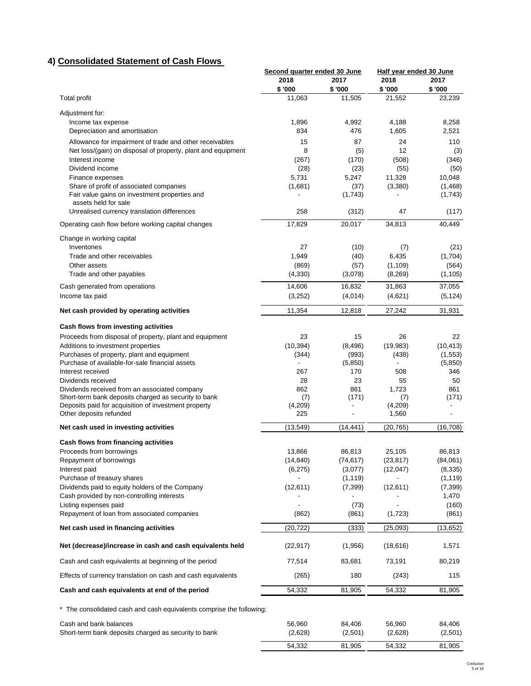# **4) Consolidated Statement of Cash Flows**

|                                                                                                       | Second quarter ended 30 June |                | Half year ended 30 June |                  |
|-------------------------------------------------------------------------------------------------------|------------------------------|----------------|-------------------------|------------------|
|                                                                                                       | 2018<br>\$'000               | 2017<br>\$'000 | 2018<br>\$ '000         | 2017<br>\$'000   |
| <b>Total profit</b>                                                                                   | 11,063                       | 11,505         | 21,552                  | 23,239           |
|                                                                                                       |                              |                |                         |                  |
| Adjustment for:<br>Income tax expense                                                                 | 1,896                        | 4,992          | 4,188                   | 8,258            |
| Depreciation and amortisation                                                                         | 834                          | 476            | 1,605                   | 2,521            |
| Allowance for impairment of trade and other receivables                                               | 15                           | 87             | 24                      | 110              |
| Net loss/(gain) on disposal of property, plant and equipment                                          | 8                            | (5)            | 12                      | (3)              |
| Interest income                                                                                       | (267)                        | (170)          | (508)                   | (346)            |
| Dividend income                                                                                       | (28)                         | (23)           | (55)                    | (50)             |
| Finance expenses                                                                                      | 5,731                        | 5,247          | 11,328                  | 10,048           |
| Share of profit of associated companies                                                               | (1,681)                      | (37)           | (3,380)                 | (1,468)          |
| Fair value gains on investment properties and<br>assets held for sale                                 |                              | (1,743)        |                         | (1,743)          |
| Unrealised currency translation differences                                                           | 258                          | (312)          | 47                      | (117)            |
|                                                                                                       | 17,829                       | 20,017         | 34,813                  | 40,449           |
| Operating cash flow before working capital changes                                                    |                              |                |                         |                  |
| Change in working capital                                                                             |                              |                |                         |                  |
| Inventories<br>Trade and other receivables                                                            | 27<br>1,949                  | (10)           | (7)<br>6,435            | (21)             |
| Other assets                                                                                          | (869)                        | (40)<br>(57)   | (1, 109)                | (1,704)<br>(564) |
| Trade and other payables                                                                              | (4,330)                      | (3,078)        | (8,269)                 | (1, 105)         |
|                                                                                                       |                              |                |                         |                  |
| Cash generated from operations                                                                        | 14,606                       | 16,832         | 31,863                  | 37,055           |
| Income tax paid                                                                                       | (3,252)                      | (4,014)        | (4,621)                 | (5, 124)         |
| Net cash provided by operating activities                                                             | 11,354                       | 12,818         | 27,242                  | 31,931           |
| Cash flows from investing activities                                                                  |                              |                |                         |                  |
| Proceeds from disposal of property, plant and equipment                                               | 23                           | 15             | 26                      | 22               |
| Additions to investment properties                                                                    | (10, 394)                    | (8, 496)       | (19,983)                | (10, 413)        |
| Purchases of property, plant and equipment                                                            | (344)                        | (993)          | (438)                   | (1, 553)         |
| Purchase of available-for-sale financial assets                                                       |                              | (5,850)        |                         | (5,850)          |
| Interest received                                                                                     | 267                          | 170            | 508                     | 346              |
| Dividends received                                                                                    | 28                           | 23             | 55                      | 50               |
| Dividends received from an associated company<br>Short-term bank deposits charged as security to bank | 862<br>(7)                   | 861<br>(171)   | 1,723                   | 861<br>(171)     |
| Deposits paid for acquisition of investment property                                                  | (4,209)                      | ٠              | (7)<br>(4,209)          |                  |
| Other deposits refunded                                                                               | 225                          | ÷,             | 1,560                   |                  |
| Net cash used in investing activities                                                                 | (13, 549)                    | (14, 441)      | (20, 765)               | (16,708)         |
|                                                                                                       |                              |                |                         |                  |
| Cash flows from financing activities<br>Proceeds from borrowings                                      | 13,866                       | 86,813         | 25,105                  | 86,813           |
| Repayment of borrowings                                                                               | (14, 840)                    | (74, 617)      | (23, 817)               | (84,061)         |
| Interest paid                                                                                         | (6,275)                      | (3,077)        | (12,047)                | (8, 335)         |
| Purchase of treasury shares                                                                           |                              | (1, 119)       |                         | (1, 119)         |
| Dividends paid to equity holders of the Company                                                       | (12,611)                     | (7, 399)       | (12,611)                | (7, 399)         |
| Cash provided by non-controlling interests                                                            |                              |                |                         | 1,470            |
| Listing expenses paid                                                                                 |                              | (73)           |                         | (160)            |
| Repayment of loan from associated companies                                                           | (862)                        | (861)          | (1,723)                 | (861)            |
| Net cash used in financing activities                                                                 | (20, 722)                    | (333)          | (25, 093)               | (13, 652)        |
| Net (decrease)/increase in cash and cash equivalents held                                             | (22, 917)                    | (1,956)        | (18, 616)               | 1,571            |
| Cash and cash equivalents at beginning of the period                                                  | 77,514                       | 83,681         | 73,191                  | 80,219           |
| Effects of currency translation on cash and cash equivalents                                          | (265)                        | 180            | (243)                   | 115              |
| Cash and cash equivalents at end of the period                                                        | 54,332                       | 81,905         | 54,332                  | 81,905           |
| * The consolidated cash and cash equivalents comprise the following:                                  |                              |                |                         |                  |
|                                                                                                       |                              |                |                         |                  |
| Cash and bank balances                                                                                | 56,960                       | 84,406         | 56,960                  | 84,406           |
| Short-term bank deposits charged as security to bank                                                  | (2,628)                      | (2,501)        | (2,628)                 | (2,501)          |
|                                                                                                       | 54,332                       | 81,905         | 54,332                  | 81,905           |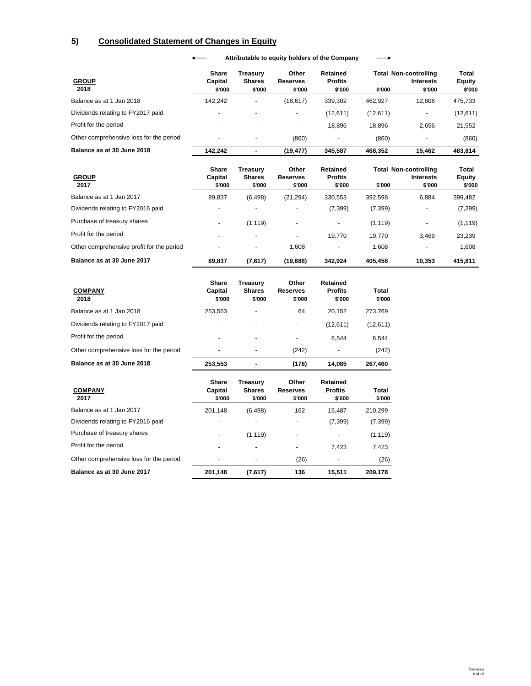# **5) Consolidated Statement of Changes in Equity**

| <b>GROUP</b>                            | Share<br>Capital | Treasurv<br><b>Shares</b> | Other<br><b>Reserves</b> | Retained<br><b>Profits</b> |          | <b>Total Non-controlling</b><br><b>Interests</b> | <b>Total</b><br><b>Equity</b> |
|-----------------------------------------|------------------|---------------------------|--------------------------|----------------------------|----------|--------------------------------------------------|-------------------------------|
| 2018                                    | \$'000           | \$'000                    | \$'000                   | \$'000                     | \$'000   | \$'000                                           | \$'000                        |
| Balance as at 1 Jan 2018                | 142.242          |                           | (18, 617)                | 339.302                    | 462.927  | 12,806                                           | 475,733                       |
| Dividends relating to FY2017 paid       |                  |                           | -                        | (12,611)                   | (12,611) |                                                  | (12,611)                      |
| Profit for the period                   | -                |                           |                          | 18.896                     | 18.896   | 2,656                                            | 21,552                        |
| Other comprehensive loss for the period | -                |                           | (860)                    | -                          | (860)    | $\overline{\phantom{0}}$                         | (860)                         |
| Balance as at 30 June 2018              | 142.242          |                           | (19, 477)                | 345.587                    | 468.352  | 15.462                                           | 483.814                       |

**Attributable to equity holders of the Company**  $\longrightarrow$ 

| <b>GROUP</b><br>2017                      | Share<br>Capital<br>\$'000 | Treasurv<br><b>Shares</b><br>\$'000 | Other<br><b>Reserves</b><br>\$'000 | Retained<br><b>Profits</b><br>\$'000 | \$'000   | <b>Total Non-controlling</b><br><b>Interests</b><br>\$'000 | Total<br><b>Equity</b><br>\$'000 |
|-------------------------------------------|----------------------------|-------------------------------------|------------------------------------|--------------------------------------|----------|------------------------------------------------------------|----------------------------------|
| Balance as at 1 Jan 2017                  | 89.837                     | (6, 498)                            | (21, 294)                          | 330,553                              | 392,598  | 6,884                                                      | 399,482                          |
| Dividends relating to FY2016 paid         |                            |                                     | -                                  | (7, 399)                             | (7, 399) |                                                            | (7, 399)                         |
| Purchase of treasury shares               | $\overline{\phantom{a}}$   | (1, 119)                            | $\overline{\phantom{a}}$           | $\overline{\phantom{a}}$             | (1, 119) | ٠                                                          | (1, 119)                         |
| Profit for the period                     | $\overline{\phantom{0}}$   | $\overline{\phantom{0}}$            | $\overline{\phantom{0}}$           | 19.770                               | 19.770   | 3.469                                                      | 23,239                           |
| Other comprehensive profit for the period | $\overline{\phantom{0}}$   |                                     | 1.608                              | $\overline{\phantom{0}}$             | 1.608    |                                                            | 1.608                            |
| Balance as at 30 June 2017                | 89.837                     | (7,617)                             | (19,686)                           | 342.924                              | 405.458  | 10.353                                                     | 415,811                          |

| <b>COMPANY</b><br>2018                  | Share<br>Capital<br>\$'000 | Treasury<br><b>Shares</b><br>\$'000 | Other<br><b>Reserves</b><br>\$'000 | <b>Retained</b><br><b>Profits</b><br>\$'000 | Total<br>\$'000 |
|-----------------------------------------|----------------------------|-------------------------------------|------------------------------------|---------------------------------------------|-----------------|
| Balance as at 1 Jan 2018                | 253.553                    | $\overline{\phantom{a}}$            | 64                                 | 20.152                                      | 273,769         |
| Dividends relating to FY2017 paid       | $\overline{\phantom{a}}$   | -                                   |                                    | (12,611)                                    | (12,611)        |
| Profit for the period                   | $\overline{\phantom{0}}$   | $\overline{\phantom{a}}$            | $\overline{\phantom{a}}$           | 6.544                                       | 6.544           |
| Other comprehensive loss for the period | ٠                          | $\overline{\phantom{0}}$            | (242)                              | ٠                                           | (242)           |
| Balance as at 30 June 2018              | 253.553                    |                                     | (178)                              | 14.085                                      | 267.460         |

| <b>COMPANY</b><br>2017                  | Share<br>Capital<br>\$'000 | Treasurv<br><b>Shares</b><br>\$'000 | Other<br><b>Reserves</b><br>\$'000 | Retained<br><b>Profits</b><br>\$'000 | Total<br>\$'000 |
|-----------------------------------------|----------------------------|-------------------------------------|------------------------------------|--------------------------------------|-----------------|
| Balance as at 1 Jan 2017                | 201,148                    | (6, 498)                            | 162                                | 15.487                               | 210,299         |
| Dividends relating to FY2016 paid       | ٠                          |                                     | ۰                                  | (7, 399)                             | (7, 399)        |
| Purchase of treasury shares             | $\overline{\phantom{0}}$   | (1, 119)                            | $\overline{\phantom{a}}$           | ٠                                    | (1, 119)        |
| Profit for the period                   | $\overline{\phantom{0}}$   |                                     |                                    | 7.423                                | 7.423           |
| Other comprehensive loss for the period | $\overline{\phantom{0}}$   | $\overline{\phantom{0}}$            | (26)                               | $\overline{a}$                       | (26)            |
| Balance as at 30 June 2017              | 201,148                    | (7,617)                             | 136                                | 15.511                               | 209.178         |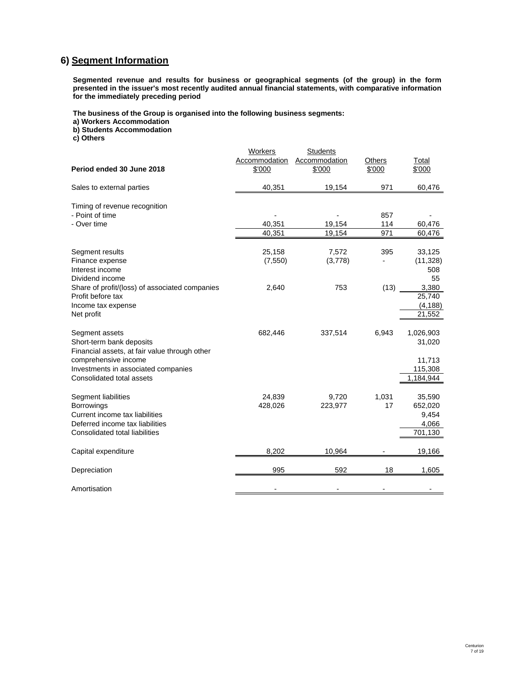# **6) Segment Information**

**Segmented revenue and results for business or geographical segments (of the group) in the form presented in the issuer's most recently audited annual financial statements, with comparative information for the immediately preceding period**

**The business of the Group is organised into the following business segments:**

**a) Workers Accommodation**

**b) Students Accommodation**

**c) Others**

|                                                | Workers       | <b>Students</b> |        |           |
|------------------------------------------------|---------------|-----------------|--------|-----------|
|                                                | Accommodation | Accommodation   | Others | Total     |
| Period ended 30 June 2018                      | \$'000        | \$'000          | \$'000 | \$'000    |
| Sales to external parties                      | 40,351        | 19,154          | 971    | 60,476    |
| Timing of revenue recognition                  |               |                 |        |           |
| - Point of time                                |               |                 | 857    |           |
| - Over time                                    | 40,351        | 19,154          | 114    | 60,476    |
|                                                | 40.351        | 19.154          | 971    | 60,476    |
| Segment results                                | 25,158        | 7,572           | 395    | 33,125    |
| Finance expense                                | (7,550)       | (3,778)         |        | (11, 328) |
| Interest income                                |               |                 |        | 508       |
| Dividend income                                |               |                 |        | 55        |
| Share of profit/(loss) of associated companies | 2,640         | 753             | (13)   | 3,380     |
| Profit before tax                              |               |                 |        | 25,740    |
| Income tax expense                             |               |                 |        | (4, 188)  |
| Net profit                                     |               |                 |        | 21,552    |
| Segment assets                                 | 682,446       | 337,514         | 6,943  | 1,026,903 |
| Short-term bank deposits                       |               |                 |        | 31,020    |
| Financial assets, at fair value through other  |               |                 |        |           |
| comprehensive income                           |               |                 |        | 11,713    |
| Investments in associated companies            |               |                 |        | 115,308   |
| Consolidated total assets                      |               |                 |        | 1,184,944 |
| Segment liabilities                            | 24,839        | 9,720           | 1,031  | 35,590    |
| <b>Borrowings</b>                              | 428,026       | 223,977         | 17     | 652,020   |
| Current income tax liabilities                 |               |                 |        | 9,454     |
| Deferred income tax liabilities                |               |                 |        | 4,066     |
| Consolidated total liabilities                 |               |                 |        | 701,130   |
| Capital expenditure                            | 8,202         | 10,964          |        | 19,166    |
| Depreciation                                   | 995           | 592             | 18     | 1,605     |
| Amortisation                                   |               |                 |        |           |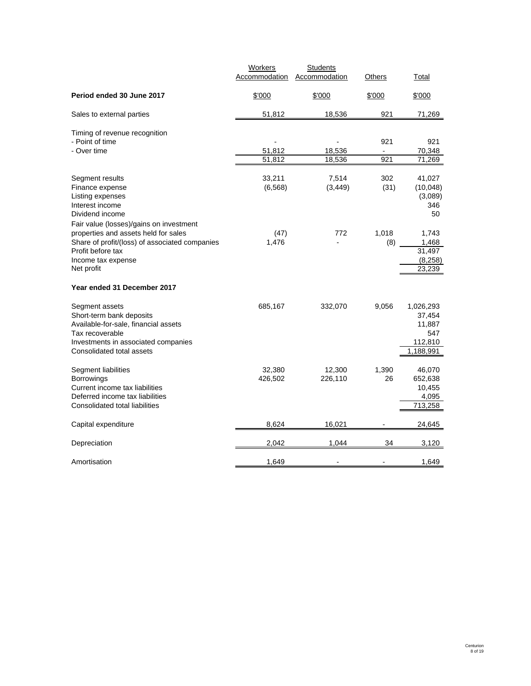|                                                                                                                                                                           | <b>Workers</b>     | <b>Students</b>          |              |                                                              |
|---------------------------------------------------------------------------------------------------------------------------------------------------------------------------|--------------------|--------------------------|--------------|--------------------------------------------------------------|
|                                                                                                                                                                           | Accommodation      | Accommodation            | Others       | Total                                                        |
| Period ended 30 June 2017                                                                                                                                                 | \$'000             | \$'000                   | \$'000       | \$'000                                                       |
| Sales to external parties                                                                                                                                                 | 51,812             | 18,536                   | 921          | 71,269                                                       |
| Timing of revenue recognition<br>- Point of time<br>- Over time                                                                                                           | 51,812<br>51,812   | 18,536<br>18,536         | 921<br>921   | 921<br>70,348<br>71,269                                      |
| Segment results<br>Finance expense<br>Listing expenses<br>Interest income<br>Dividend income<br>Fair value (losses)/gains on investment                                   | 33,211<br>(6, 568) | 7,514<br>(3, 449)        | 302<br>(31)  | 41,027<br>(10,048)<br>(3,089)<br>346<br>50                   |
| properties and assets held for sales<br>Share of profit/(loss) of associated companies<br>Profit before tax<br>Income tax expense<br>Net profit                           | (47)<br>1,476      | 772                      | 1,018<br>(8) | 1,743<br>1,468<br>31,497<br>(8, 258)<br>23,239               |
| Year ended 31 December 2017                                                                                                                                               |                    |                          |              |                                                              |
| Segment assets<br>Short-term bank deposits<br>Available-for-sale, financial assets<br>Tax recoverable<br>Investments in associated companies<br>Consolidated total assets | 685,167            | 332,070                  | 9,056        | 1,026,293<br>37,454<br>11,887<br>547<br>112,810<br>1,188,991 |
| Segment liabilities<br><b>Borrowings</b><br>Current income tax liabilities<br>Deferred income tax liabilities<br>Consolidated total liabilities                           | 32,380<br>426,502  | 12,300<br>226,110        | 1,390<br>26  | 46,070<br>652,638<br>10,455<br>4,095<br>713,258              |
| Capital expenditure                                                                                                                                                       | 8,624              | 16,021                   |              | 24,645                                                       |
| Depreciation                                                                                                                                                              | 2,042              | 1,044                    | 34           | 3,120                                                        |
| Amortisation                                                                                                                                                              | 1,649              | $\overline{\phantom{0}}$ |              | 1,649                                                        |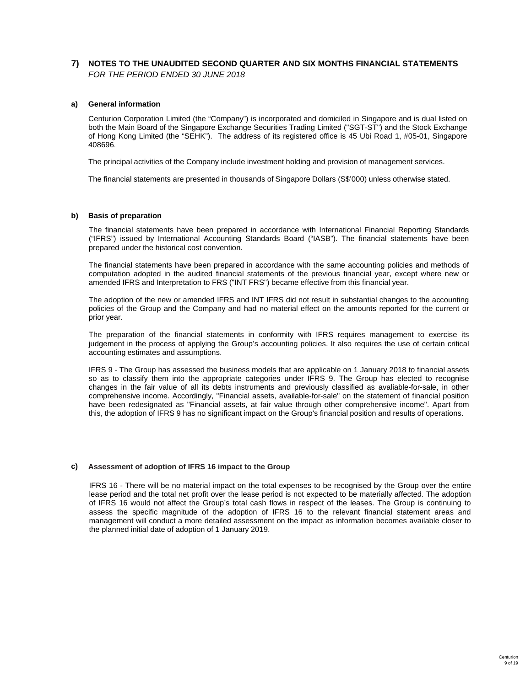# **7) NOTES TO THE UNAUDITED SECOND QUARTER AND SIX MONTHS FINANCIAL STATEMENTS** *FOR THE PERIOD ENDED 30 JUNE 2018*

# **a) General information**

Centurion Corporation Limited (the "Company") is incorporated and domiciled in Singapore and is dual listed on both the Main Board of the Singapore Exchange Securities Trading Limited ("SGT-ST") and the Stock Exchange of Hong Kong Limited (the "SEHK"). The address of its registered office is 45 Ubi Road 1, #05-01, Singapore 408696.

The principal activities of the Company include investment holding and provision of management services.

The financial statements are presented in thousands of Singapore Dollars (S\$'000) unless otherwise stated.

# **b) Basis of preparation**

The financial statements have been prepared in accordance with International Financial Reporting Standards ("IFRS") issued by International Accounting Standards Board ("IASB"). The financial statements have been prepared under the historical cost convention.

The financial statements have been prepared in accordance with the same accounting policies and methods of computation adopted in the audited financial statements of the previous financial year, except where new or amended IFRS and Interpretation to FRS ("INT FRS") became effective from this financial year.

The adoption of the new or amended IFRS and INT IFRS did not result in substantial changes to the accounting policies of the Group and the Company and had no material effect on the amounts reported for the current or prior year.

The preparation of the financial statements in conformity with IFRS requires management to exercise its judgement in the process of applying the Group's accounting policies. It also requires the use of certain critical accounting estimates and assumptions.

IFRS 9 - The Group has assessed the business models that are applicable on 1 January 2018 to financial assets so as to classify them into the appropriate categories under IFRS 9. The Group has elected to recognise changes in the fair value of all its debts instruments and previously classified as avaliable-for-sale, in other comprehensive income. Accordingly, "Financial assets, available-for-sale" on the statement of financial position have been redesignated as "Financial assets, at fair value through other comprehensive income". Apart from this, the adoption of IFRS 9 has no significant impact on the Group's financial position and results of operations.

# **c) Assessment of adoption of IFRS 16 impact to the Group**

IFRS 16 - There will be no material impact on the total expenses to be recognised by the Group over the entire lease period and the total net profit over the lease period is not expected to be materially affected. The adoption of IFRS 16 would not affect the Group's total cash flows in respect of the leases. The Group is continuing to assess the specific magnitude of the adoption of IFRS 16 to the relevant financial statement areas and management will conduct a more detailed assessment on the impact as information becomes available closer to the planned initial date of adoption of 1 January 2019.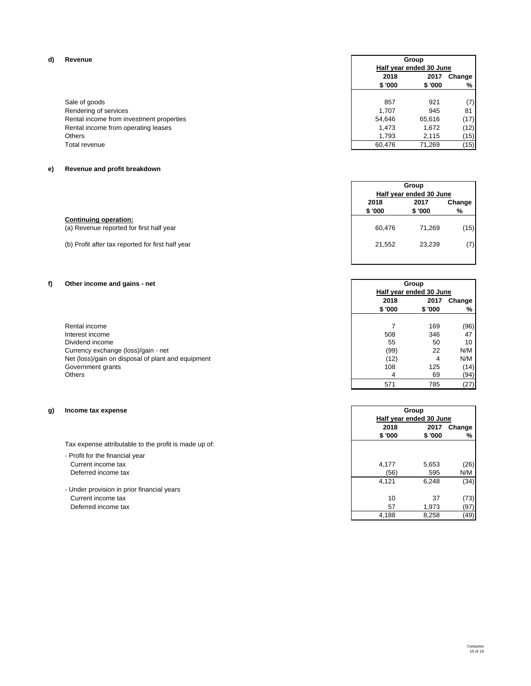### **d) Revenue**

Rendering of services 845 1,707 81 1,707 81 1,707 81 1,707 81 1,707 81 1,707 81 1 1,707 81 1 1,707 81 1 1,707 Rental income from investment properties and the state of the state of the state of the state of the state of the state of the state of the state of the state of the state of the state of the state of the state of the stat Rental income from operating leases (12) 1,473 1,672 (12)<br>Others 1,793 2,115 (15)  $\Gamma$ otal revenue  $\begin{bmatrix} 15 \end{bmatrix}$ 

# **e) Revenue and profit breakdown**

|                                                                          |                 | Group<br>Half year ended 30 June |             |
|--------------------------------------------------------------------------|-----------------|----------------------------------|-------------|
|                                                                          | 2018<br>\$ '000 | 2017<br>\$'000                   | Change<br>% |
| <b>Continuing operation:</b><br>(a) Revenue reported for first half year | 60.476          | 71.269                           | (15)        |
| (b) Profit after tax reported for first half year                        | 21.552          | 23.239                           | (7)         |

# **f) Other income and gains - net**

| Rental income                                      |      | 169 | (96)            |
|----------------------------------------------------|------|-----|-----------------|
| Interest income                                    | 508  | 346 | 47              |
| Dividend income                                    | 55   | 50  | 10 <sup>1</sup> |
| Currency exchange (loss)/gain - net                | (99) | 22  | N/M             |
| Net (loss)/gain on disposal of plant and equipment | (12) |     | N/M             |
| Government grants                                  | 108  | 125 | (14)            |
| Others                                             |      | 69  | (94)            |

# **g) Income tax expense**

- Profit for the financial year Current income tax Deferred income tax

- Under provision in prior financial years Current income tax Deferred income tax

# 2018 2017 Change<br>\$'000 \$'000 % **\$ '000 \$ '000 %** Sale of goods 6 and 201 and 201 and 201 and 201 and 201 and 201 and 201 and 201 and 201 and 201 and 201 and 20<br>
921 1,707 2945 81 Others 2,115 (15) 2,115 (15) **Group Half year ended 30 June**

| Group<br>Half year ended 30 June |        |        |  |
|----------------------------------|--------|--------|--|
| 2018<br>2017                     |        | Change |  |
| \$'000                           | \$'000 | %      |  |
| 60,476                           | 71,269 | (15    |  |
| 21,552                           | 23,239 |        |  |
|                                  |        |        |  |

| Other income and gains - net                       |                         | Group   |        |
|----------------------------------------------------|-------------------------|---------|--------|
|                                                    | Half year ended 30 June |         |        |
|                                                    | 2018                    | 2017    | Change |
|                                                    | \$ '000                 | \$ '000 | %      |
|                                                    |                         |         |        |
| Rental income                                      |                         | 169     | (96)   |
| Interest income                                    | 508                     | 346     | 47     |
| Dividend income                                    | 55                      | 50      | 10     |
| Currency exchange (loss)/gain - net                | (99)                    | 22      | N/M    |
| Net (loss)/gain on disposal of plant and equipment | (12)                    | 4       | N/M    |
| Government grants                                  | 108                     | 125     | (14)   |
| Others                                             | 4                       | 69      | (94)   |
|                                                    | 571                     | 785     | (27)   |

| Group                   |         |             |  |
|-------------------------|---------|-------------|--|
| Half year ended 30 June |         |             |  |
| 2018                    |         | 2017 Change |  |
| \$ '000                 | \$ '000 | %           |  |
|                         |         |             |  |
|                         |         |             |  |
| 4,177                   | 5,653   | (26)        |  |
| (56)                    | 595     | N/M         |  |
| 4,121                   | 6,248   | (34)        |  |
|                         |         |             |  |
| 10                      | 37      | (73         |  |
| 57                      | 1,973   | (97         |  |
| 4,188                   | 8,258   | (49         |  |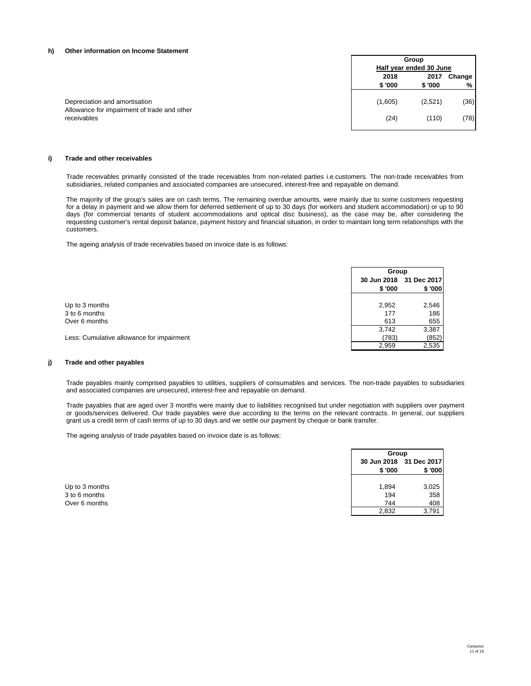#### **h) Other information on Income Statement**

|                                                            |         | Group                   |        |  |
|------------------------------------------------------------|---------|-------------------------|--------|--|
|                                                            |         | Half year ended 30 June |        |  |
|                                                            | 2018    | 2017                    | Change |  |
|                                                            | \$'000  | \$'000                  | %      |  |
| Depreciation and amortisation                              | (1,605) | (2,521)                 | (36)   |  |
| Allowance for impairment of trade and other<br>receivables | (24)    | (110)                   | (78)   |  |

### **i) Trade and other receivables**

Trade receivables primarily consisted of the trade receivables from non-related parties i.e.customers. The non-trade receivables from subsidiaries, related companies and associated companies are unsecured, interest-free and repayable on demand.

The majority of the group's sales are on cash terms. The remaining overdue amounts, were mainly due to some customers requesting for a delay in payment and we allow them for deferred settlement of up to 30 days (for workers and student accommodation) or up to 90 days (for commercial tenants of student accommodations and optical disc business), as the case may be, after considering the requesting customer's rental deposit balance, payment history and financial situation, in order to maintain long term relationships with the customers.

The ageing analysis of trade receivables based on invoice date is as follows:

|                                           | Group  |                         |  |
|-------------------------------------------|--------|-------------------------|--|
|                                           |        | 30 Jun 2018 31 Dec 2017 |  |
|                                           | \$'000 | \$'000                  |  |
|                                           |        |                         |  |
| Up to 3 months                            | 2,952  | 2,546                   |  |
| 3 to 6 months                             | 177    | 186                     |  |
| Over 6 months                             | 613    | 655                     |  |
|                                           | 3,742  | 3,387                   |  |
| Less: Cumulative allowance for impairment | (783)  | (852)                   |  |
|                                           | 2.959  | 2,535                   |  |

# **j) Trade and other payables**

Trade payables mainly comprised payables to utilities, suppliers of consumables and services. The non-trade payables to subsidiaries and associated companies are unsecured, interest-free and repayable on demand.

Trade payables that are aged over 3 months were mainly due to liabilities recognised but under negotiation with suppliers over payment or goods/services delivered. Our trade payables were due according to the terms on the relevant contracts. In general, our suppliers grant us a credit term of cash terms of up to 30 days and we settle our payment by cheque or bank transfer.

The ageing analysis of trade payables based on invoice date is as follows:

|                                | Group                              |            |
|--------------------------------|------------------------------------|------------|
|                                | 30 Jun 2018 31 Dec 2017<br>\$ '000 | \$'000     |
| Up to 3 months                 | 1,894                              | 3,025      |
| 3 to 6 months<br>Over 6 months | 194<br>744                         | 358<br>408 |
|                                | 2,832                              | 3,791      |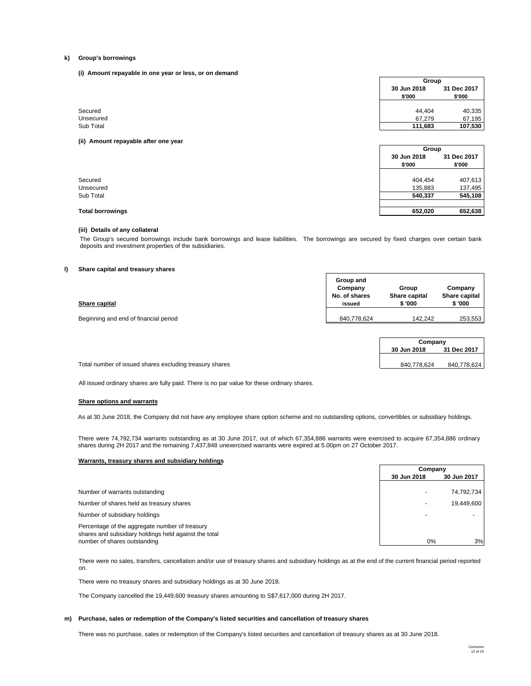#### **k) Group's borrowings**

**(i) Amount repayable in one year or less, or on demand**

| 30 Jun 2018<br>\$'000 | 31 Dec 2017<br>\$'000 |
|-----------------------|-----------------------|
|                       |                       |
| 44.404                | 40,335                |
| 67,279                | 67,195                |
| 111,683               | 107,530               |
|                       |                       |

| 30 Jun 2018 | 31 Dec 2017 |       |
|-------------|-------------|-------|
| \$'000      | \$'000      |       |
|             |             |       |
| 404,454     | 407,613     |       |
| 135,883     | 137,495     |       |
| 540,337     | 545,108     |       |
| 652,020     | 652,638     |       |
|             |             | Group |

### **(iii) Details of any collateral**

The Group's secured borrowings include bank borrowings and lease liabilities. The borrowings are secured by fixed charges over certain bank deposits and investment properties of the subsidiaries.

#### **l) Share capital and treasury shares**

| Share capital                         | Group and<br>Company<br>No. of shares<br>issued | Group<br>Share capital<br>\$'000 | Company<br>Share capital<br>\$ '000 |
|---------------------------------------|-------------------------------------------------|----------------------------------|-------------------------------------|
| Beginning and end of financial period | 840.778.624                                     | 142.242                          | 253,553                             |

|                                                         | Company     |             |
|---------------------------------------------------------|-------------|-------------|
|                                                         | 30 Jun 2018 | 31 Dec 2017 |
|                                                         |             |             |
| Total number of issued shares excluding treasury shares | 840.778.624 | 840.778.624 |

All issued ordinary shares are fully paid. There is no par value for these ordinary shares.

#### **Share options and warrants**

As at 30 June 2018, the Company did not have any employee share option scheme and no outstanding options, convertibles or subsidiary holdings.

There were 74,792,734 warrants outstanding as at 30 June 2017, out of which 67,354,886 warrants were exercised to acquire 67,354,886 ordinary shares during 2H 2017 and the remaining 7,437,848 unexercised warrants were expired at 5.00pm on 27 October 2017.

#### **Warrants, treasury shares and subsidiary holdings**

|                                                                                                                                         | Company                  |             |
|-----------------------------------------------------------------------------------------------------------------------------------------|--------------------------|-------------|
|                                                                                                                                         | 30 Jun 2018              | 30 Jun 2017 |
| Number of warrants outstanding                                                                                                          | $\overline{\phantom{0}}$ | 74,792,734  |
| Number of shares held as treasury shares                                                                                                | -                        | 19.449.600  |
| Number of subsidiary holdings                                                                                                           |                          |             |
| Percentage of the aggregate number of treasury<br>shares and subsidiary holdings held against the total<br>number of shares outstanding | $0\%$                    | 3%          |
|                                                                                                                                         |                          |             |

There were no sales, transfers, cancellation and/or use of treasury shares and subsidiary holdings as at the end of the current financial period reported on.

There were no treasury shares and subsidiary holdings as at 30 June 2018.

The Company cancelled the 19,449,600 treasury shares amounting to S\$7,617,000 during 2H 2017.

#### **m) Purchase, sales or redemption of the Company's listed securities and cancellation of treasury shares**

There was no purchase, sales or redemption of the Company's listed securities and cancellation of treasury shares as at 30 June 2018.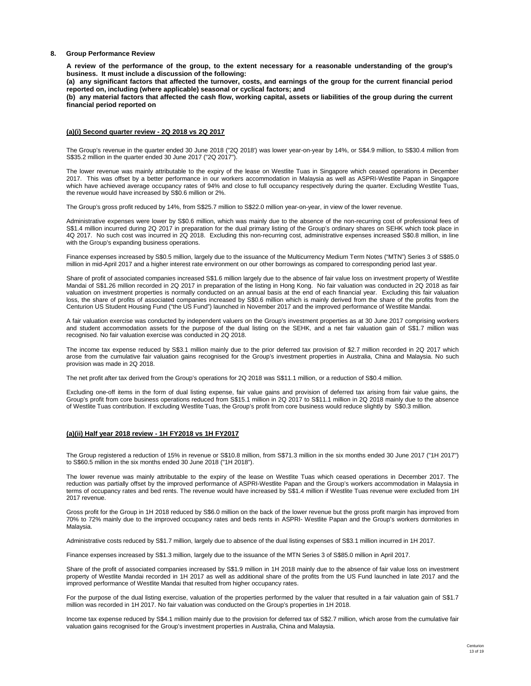#### **8. Group Performance Review**

**A review of the performance of the group, to the extent necessary for a reasonable understanding of the group's business. It must include a discussion of the following:**

**(a) any significant factors that affected the turnover, costs, and earnings of the group for the current financial period reported on, including (where applicable) seasonal or cyclical factors; and**

**(b) any material factors that affected the cash flow, working capital, assets or liabilities of the group during the current financial period reported on**

#### **(a)(i) Second quarter review - 2Q 2018 vs 2Q 2017**

The Group's revenue in the quarter ended 30 June 2018 ("2Q 2018') was lower year-on-year by 14%, or S\$4.9 million, to S\$30.4 million from S\$35.2 million in the quarter ended 30 June 2017 ("2Q 2017").

The lower revenue was mainly attributable to the expiry of the lease on Westlite Tuas in Singapore which ceased operations in December 2017. This was offset by a better performance in our workers accommodation in Malaysia as well as ASPRI-Westlite Papan in Singapore which have achieved average occupancy rates of 94% and close to full occupancy respectively during the quarter. Excluding Westlite Tuas, the revenue would have increased by S\$0.6 million or 2%.

The Group's gross profit reduced by 14%, from S\$25.7 million to S\$22.0 million year-on-year, in view of the lower revenue.

Administrative expenses were lower by S\$0.6 million, which was mainly due to the absence of the non-recurring cost of professional fees of S\$1.4 million incurred during 2Q 2017 in preparation for the dual primary listing of the Group's ordinary shares on SEHK which took place in 4Q 2017. No such cost was incurred in 2Q 2018. Excluding this non-recurring cost, administrative expenses increased S\$0.8 million, in line with the Group's expanding business operations.

Finance expenses increased by S\$0.5 million, largely due to the issuance of the Multicurrency Medium Term Notes ("MTN") Series 3 of S\$85.0 million in mid-April 2017 and a higher interest rate environment on our other borrowings as compared to corresponding period last year.

Share of profit of associated companies increased S\$1.6 million largely due to the absence of fair value loss on investment property of Westlite Mandai of S\$1.26 million recorded in 2Q 2017 in preparation of the listing in Hong Kong. No fair valuation was conducted in 2Q 2018 as fair valuation on investment properties is normally conducted on an annual basis at the end of each financial year. Excluding this fair valuation loss, the share of profits of associated companies increased by S\$0.6 million which is mainly derived from the share of the profits from the Centurion US Student Housing Fund ("the US Fund") launched in November 2017 and the improved performance of Westlite Mandai.

A fair valuation exercise was conducted by independent valuers on the Group's investment properties as at 30 June 2017 comprising workers and student accommodation assets for the purpose of the dual listing on the SEHK, and a net fair valuation gain of S\$1.7 million was recognised. No fair valuation exercise was conducted in 2Q 2018.

The income tax expense reduced by S\$3.1 million mainly due to the prior deferred tax provision of \$2.7 million recorded in 2Q 2017 which arose from the cumulative fair valuation gains recognised for the Group's investment properties in Australia, China and Malaysia. No such provision was made in 2Q 2018.

The net profit after tax derived from the Group's operations for 2Q 2018 was S\$11.1 million, or a reduction of S\$0.4 million.

Excluding one-off items in the form of dual listing expense, fair value gains and provision of deferred tax arising from fair value gains, the Group's profit from core business operations reduced from S\$15.1 million in 2Q 2017 to S\$11.1 million in 2Q 2018 mainly due to the absence of Westlite Tuas contribution. If excluding Westlite Tuas, the Group's profit from core business would reduce slightly by S\$0.3 million.

### **(a)(ii) Half year 2018 review - 1H FY2018 vs 1H FY2017**

The Group registered a reduction of 15% in revenue or S\$10.8 million, from S\$71.3 million in the six months ended 30 June 2017 ("1H 2017") to S\$60.5 million in the six months ended 30 June 2018 ("1H 2018").

The lower revenue was mainly attributable to the expiry of the lease on Westlite Tuas which ceased operations in December 2017. The reduction was partially offset by the improved performance of ASPRI-Westlite Papan and the Group's workers accommodation in Malaysia in terms of occupancy rates and bed rents. The revenue would have increased by S\$1.4 million if Westlite Tuas revenue were excluded from 1H 2017 revenue.

Gross profit for the Group in 1H 2018 reduced by S\$6.0 million on the back of the lower revenue but the gross profit margin has improved from 70% to 72% mainly due to the improved occupancy rates and beds rents in ASPRI- Westlite Papan and the Group's workers dormitories in Malaysia.

Administrative costs reduced by S\$1.7 million, largely due to absence of the dual listing expenses of S\$3.1 million incurred in 1H 2017.

Finance expenses increased by S\$1.3 million, largely due to the issuance of the MTN Series 3 of S\$85.0 million in April 2017.

Share of the profit of associated companies increased by S\$1.9 million in 1H 2018 mainly due to the absence of fair value loss on investment property of Westlite Mandai recorded in 1H 2017 as well as additional share of the profits from the US Fund launched in late 2017 and the improved performance of Westlite Mandai that resulted from higher occupancy rates.

For the purpose of the dual listing exercise, valuation of the properties performed by the valuer that resulted in a fair valuation gain of S\$1.7 million was recorded in 1H 2017. No fair valuation was conducted on the Group's properties in 1H 2018.

Income tax expense reduced by S\$4.1 million mainly due to the provision for deferred tax of S\$2.7 million, which arose from the cumulative fair valuation gains recognised for the Group's investment properties in Australia, China and Malaysia.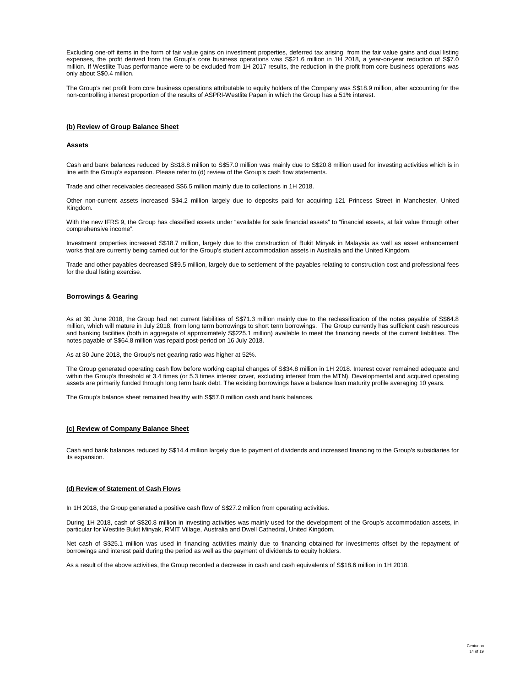Excluding one-off items in the form of fair value gains on investment properties, deferred tax arising from the fair value gains and dual listing expenses, the profit derived from the Group's core business operations was S\$21.6 million in 1H 2018, a year-on-year reduction of S\$7.0 million. If Westlite Tuas performance were to be excluded from 1H 2017 results, the reduction in the profit from core business operations was only about S\$0.4 million.

The Group's net profit from core business operations attributable to equity holders of the Company was S\$18.9 million, after accounting for the non-controlling interest proportion of the results of ASPRI-Westlite Papan in which the Group has a 51% interest.

## **(b) Review of Group Balance Sheet**

#### **Assets**

Cash and bank balances reduced by S\$18.8 million to S\$57.0 million was mainly due to S\$20.8 million used for investing activities which is in line with the Group's expansion. Please refer to (d) review of the Group's cash flow statements.

Trade and other receivables decreased S\$6.5 million mainly due to collections in 1H 2018.

Other non-current assets increased S\$4.2 million largely due to deposits paid for acquiring 121 Princess Street in Manchester, United Kingdom.

With the new IFRS 9, the Group has classified assets under "available for sale financial assets" to "financial assets, at fair value through other comprehensive income".

Investment properties increased S\$18.7 million, largely due to the construction of Bukit Minyak in Malaysia as well as asset enhancement works that are currently being carried out for the Group's student accommodation assets in Australia and the United Kingdom.

Trade and other payables decreased S\$9.5 million, largely due to settlement of the payables relating to construction cost and professional fees for the dual listing exercise.

#### **Borrowings & Gearing**

As at 30 June 2018, the Group had net current liabilities of S\$71.3 million mainly due to the reclassification of the notes payable of S\$64.8 million, which will mature in July 2018, from long term borrowings to short term borrowings. The Group currently has sufficient cash resources and banking facilities (both in aggregate of approximately S\$225.1 million) available to meet the financing needs of the current liabilities. The notes payable of S\$64.8 million was repaid post-period on 16 July 2018.

As at 30 June 2018, the Group's net gearing ratio was higher at 52%.

The Group generated operating cash flow before working capital changes of S\$34.8 million in 1H 2018. Interest cover remained adequate and within the Group's threshold at 3.4 times (or 5.3 times interest cover, excluding interest from the MTN). Developmental and acquired operating assets are primarily funded through long term bank debt. The existing borrowings have a balance loan maturity profile averaging 10 years.

The Group's balance sheet remained healthy with S\$57.0 million cash and bank balances.

#### **(c) Review of Company Balance Sheet**

Cash and bank balances reduced by S\$14.4 million largely due to payment of dividends and increased financing to the Group's subsidiaries for its expansion.

#### **(d) Review of Statement of Cash Flows**

In 1H 2018, the Group generated a positive cash flow of S\$27.2 million from operating activities.

During 1H 2018, cash of S\$20.8 million in investing activities was mainly used for the development of the Group's accommodation assets, in particular for Westlite Bukit Minyak, RMIT Village, Australia and Dwell Cathedral, United Kingdom.

Net cash of S\$25.1 million was used in financing activities mainly due to financing obtained for investments offset by the repayment of borrowings and interest paid during the period as well as the payment of dividends to equity holders.

As a result of the above activities, the Group recorded a decrease in cash and cash equivalents of S\$18.6 million in 1H 2018.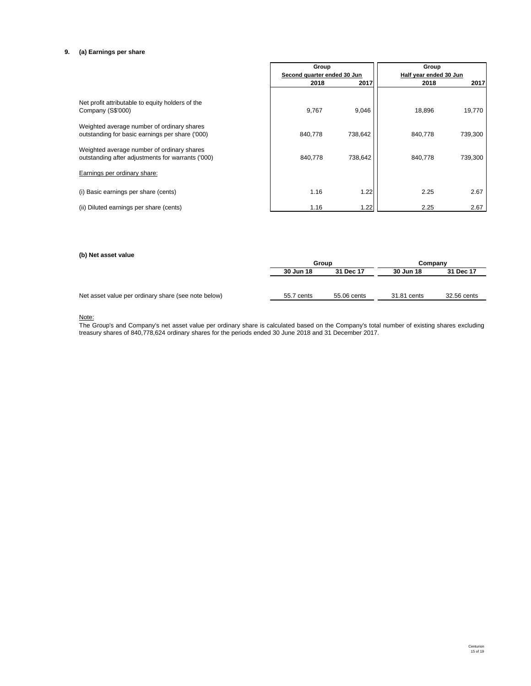# **9. (a) Earnings per share**

|                                                                                                 | Group                       |         | Group                  |         |
|-------------------------------------------------------------------------------------------------|-----------------------------|---------|------------------------|---------|
|                                                                                                 | Second quarter ended 30 Jun |         | Half year ended 30 Jun |         |
|                                                                                                 | 2018                        | 2017    | 2018                   | 2017    |
| Net profit attributable to equity holders of the<br>Company (S\$'000)                           | 9,767                       | 9,046   | 18,896                 | 19,770  |
| Weighted average number of ordinary shares<br>outstanding for basic earnings per share ('000)   | 840,778                     | 738,642 | 840.778                | 739,300 |
| Weighted average number of ordinary shares<br>outstanding after adjustments for warrants ('000) | 840,778                     | 738,642 | 840.778                | 739,300 |
| Earnings per ordinary share:                                                                    |                             |         |                        |         |
| (i) Basic earnings per share (cents)                                                            | 1.16                        | 1.22    | 2.25                   | 2.67    |
| (ii) Diluted earnings per share (cents)                                                         | 1.16                        | 1.22    | 2.25                   | 2.67    |

### **(b) Net asset value**

| w, nor accor range                                  |            |             |             |             |  |
|-----------------------------------------------------|------------|-------------|-------------|-------------|--|
|                                                     | Group      |             | Company     |             |  |
|                                                     | 30 Jun 18  | 31 Dec 17   | 30 Jun 18   | 31 Dec 17   |  |
|                                                     |            |             |             |             |  |
|                                                     |            |             |             |             |  |
| Net asset value per ordinary share (see note below) | 55.7 cents | 55.06 cents | 31.81 cents | 32.56 cents |  |
|                                                     |            |             |             |             |  |

Note:

The Group's and Company's net asset value per ordinary share is calculated based on the Company's total number of existing shares excluding treasury shares of 840,778,624 ordinary shares for the periods ended 30 June 2018 and 31 December 2017.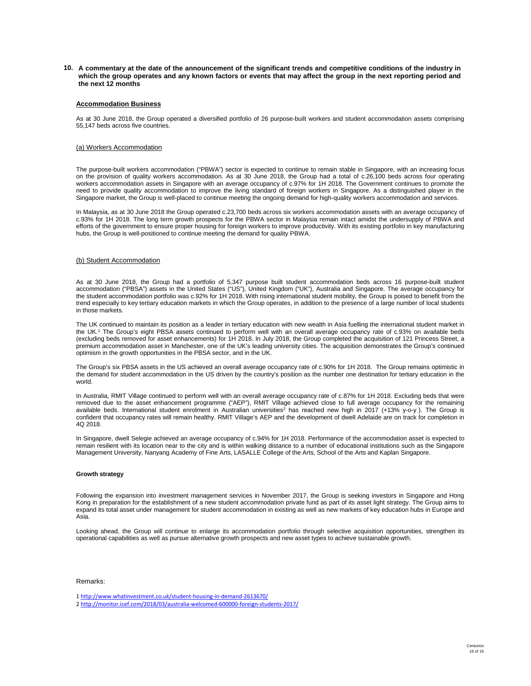**10. A commentary at the date of the announcement of the significant trends and competitive conditions of the industry in which the group operates and any known factors or events that may affect the group in the next reporting period and the next 12 months**

### **Accommodation Business**

As at 30 June 2018, the Group operated a diversified portfolio of 26 purpose-built workers and student accommodation assets comprising 55,147 beds across five countries.

### (a) Workers Accommodation

The purpose-built workers accommodation ("PBWA") sector is expected to continue to remain stable in Singapore, with an increasing focus on the provision of quality workers accommodation. As at 30 June 2018, the Group had a total of c.26,100 beds across four operating workers accommodation assets in Singapore with an average occupancy of c.97% for 1H 2018. The Government continues to promote the need to provide quality accommodation to improve the living standard of foreign workers in Singapore. As a distinguished player in the Singapore market, the Group is well-placed to continue meeting the ongoing demand for high-quality workers accommodation and services.

In Malaysia, as at 30 June 2018 the Group operated c.23,700 beds across six workers accommodation assets with an average occupancy of c.93% for 1H 2018. The long term growth prospects for the PBWA sector in Malaysia remain intact amidst the undersupply of PBWA and efforts of the government to ensure proper housing for foreign workers to improve productivity. With its existing portfolio in key manufacturing hubs, the Group is well-positioned to continue meeting the demand for quality PBWA.

### (b) Student Accommodation

As at 30 June 2018, the Group had a portfolio of 5,347 purpose built student accommodation beds across 16 purpose-built student accommodation ("PBSA") assets in the United States ("US"), United Kingdom ("UK"), Australia and Singapore. The average occupancy for the student accommodation portfolio was c.92% for 1H 2018. With rising international student mobility, the Group is poised to benefit from the trend especially to key tertiary education markets in which the Group operates, in addition to the presence of a large number of local students in those markets.

The UK continued to maintain its position as a leader in tertiary education with new wealth in Asia fuelling the international student market in the UK.1 The Group's eight PBSA assets continued to perform well with an overall average occupancy rate of c.93% on available beds (excluding beds removed for asset enhancements) for 1H 2018. In July 2018, the Group completed the acquisition of 121 Princess Street, a premium accommodation asset in Manchester, one of the UK's leading university cities. The acquisition demonstrates the Group's continued optimism in the growth opportunities in the PBSA sector, and in the UK.

The Group's six PBSA assets in the US achieved an overall average occupancy rate of c.90% for 1H 2018. The Group remains optimistic in the demand for student accommodation in the US driven by the country's position as the number one destination for tertiary education in the world.

In Australia, RMIT Village continued to perform well with an overall average occupancy rate of c.87% for 1H 2018. Excluding beds that were removed due to the asset enhancement programme ("AEP"), RMIT Village achieved close to full average occupancy for the remaining available beds. International student enrolment in Australian universities<sup>2</sup> has reached new high in 2017 (+13% y-o-y). The Group is confident that occupancy rates will remain healthy. RMIT Village's AEP and the development of dwell Adelaide are on track for completion in 4Q 2018.

In Singapore, dwell Selegie achieved an average occupancy of c.94% for 1H 2018. Performance of the accommodation asset is expected to remain resilient with its location near to the city and is within walking distance to a number of educational institutions such as the Singapore Management University, Nanyang Academy of Fine Arts, LASALLE College of the Arts, School of the Arts and Kaplan Singapore.

#### **Growth strategy**

Following the expansion into investment management services in November 2017, the Group is seeking investors in Singapore and Hong Kong in preparation for the establishment of a new student accommodation private fund as part of its asset light strategy. The Group aims to expand its total asset under management for student accommodation in existing as well as new markets of key education hubs in Europe and Asia.

Looking ahead, the Group will continue to enlarge its accommodation portfolio through selective acquisition opportunities, strengthen its operational capabilities as well as pursue alternative growth prospects and new asset types to achieve sustainable growth.

# Remarks:

<sup>1</sup> http://www.whatinvestment.co.uk/student‐housing‐in‐demand‐2613670/

<sup>2</sup> http://monitor.icef.com/2018/03/australia‐welcomed‐600000‐foreign‐students‐2017/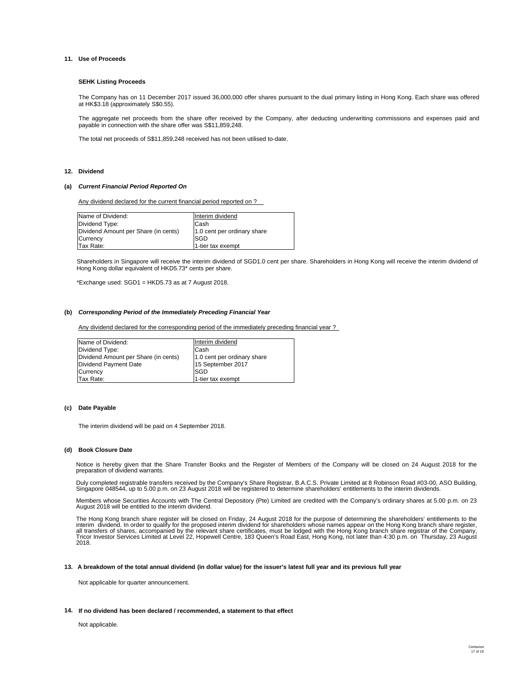#### **11. Use of Proceeds**

#### **SEHK Listing Proceeds**

The Company has on 11 December 2017 issued 36,000,000 offer shares pursuant to the dual primary listing in Hong Kong. Each share was offered at HK\$3.18 (approximately S\$0.55).

The aggregate net proceeds from the share offer received by the Company, after deducting underwriting commissions and expenses paid and payable in connection with the share offer was S\$11,859,248.

The total net proceeds of S\$11,859,248 received has not been utilised to-date.

#### **12. Dividend**

#### **(a)** *Current Financial Period Reported On*

Any dividend declared for the current financial period reported on ?

| Name of Dividend: |                                      | Interim dividend            |
|-------------------|--------------------------------------|-----------------------------|
| Dividend Type:    |                                      | Cash                        |
|                   | Dividend Amount per Share (in cents) | 1.0 cent per ordinary share |
| <b>Currency</b>   |                                      | SGD                         |
| Tax Rate:         |                                      | 1-tier tax exempt           |

Shareholders in Singapore will receive the interim dividend of SGD1.0 cent per share. Shareholders in Hong Kong will receive the interim dividend of Hong Kong dollar equivalent of HKD5.73\* cents per share.

\*Exchange used: SGD1 = HKD5.73 as at 7 August 2018.

#### **(b)** *Corresponding Period of the Immediately Preceding Financial Year*

Any dividend declared for the corresponding period of the immediately preceding financial year ?

| Name of Dividend:                    | Interim dividend            |
|--------------------------------------|-----------------------------|
| Dividend Type:                       | Cash                        |
| Dividend Amount per Share (in cents) | 1.0 cent per ordinary share |
| Dividend Payment Date                | 15 September 2017           |
| Currency                             | <b>SGD</b>                  |
| Tax Rate:                            | 1-tier tax exempt           |

#### **(c) Date Payable**

The interim dividend will be paid on 4 September 2018.

#### **(d) Book Closure Date**

Notice is hereby given that the Share Transfer Books and the Register of Members of the Company will be closed on 24 August 2018 for the preparation of dividend warrants.

Duly completed registrable transfers received by the Company's Share Registrar, B.A.C.S. Private Limited at 8 Robinson Road #03-00, ASO Building, Singapore 048544, up to 5.00 p.m. on 23 August 2018 will be registered to determine shareholders' entitlements to the interim dividends.

Members whose Securities Accounts with The Central Depository (Pte) Limited are credited with the Company's ordinary shares at 5.00 p.m. on 23 August 2018 will be entitled to the interim dividend.

The Hong Kong branch share register will be closed on Friday, 24 August 2018 for the purpose of determining the shareholders' entitlements to the<br>interim dividend. In order to qualify for the proposed interim dividend for Tricor Investor Services Limited at Level 22, Hopewell Centre, 183 Queen's Road East, Hong Kong, not later than 4:30 p.m. on Thursday, 23 August 2018.

#### **13. A breakdown of the total annual dividend (in dollar value) for the issuer's latest full year and its previous full year**

Not applicable for quarter announcement.

#### **14. If no dividend has been declared / recommended, a statement to that effect**

Not applicable.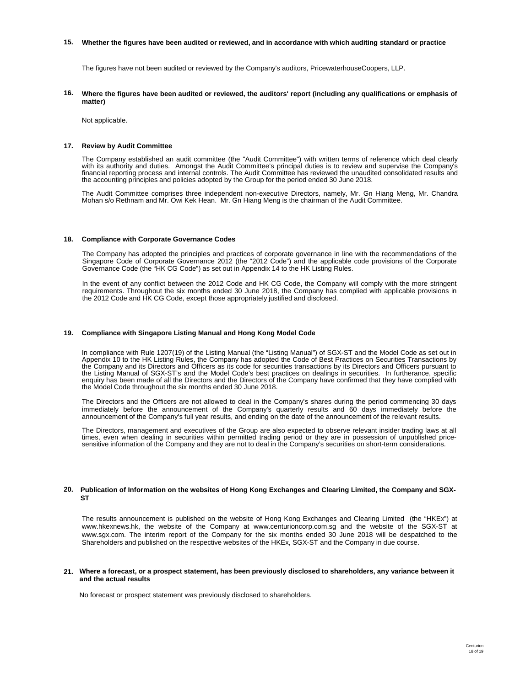#### **15. Whether the figures have been audited or reviewed, and in accordance with which auditing standard or practice**

The figures have not been audited or reviewed by the Company's auditors, PricewaterhouseCoopers, LLP.

**16. Where the figures have been audited or reviewed, the auditors' report (including any qualifications or emphasis of matter)**

Not applicable.

#### **17. Review by Audit Committee**

The Company established an audit committee (the "Audit Committee") with written terms of reference which deal clearly with its authority and duties. Amongst the Audit Committee's principal duties is to review and supervise the Company's financial reporting process and internal controls. The Audit Committee has reviewed the unaudited consolidated results and the accounting principles and policies adopted by the Group for the period ended 30 June 2018.

The Audit Committee comprises three independent non-executive Directors, namely, Mr. Gn Hiang Meng, Mr. Chandra Mohan s/o Rethnam and Mr. Owi Kek Hean. Mr. Gn Hiang Meng is the chairman of the Audit Committee.

#### **18. Compliance with Corporate Governance Codes**

The Company has adopted the principles and practices of corporate governance in line with the recommendations of the Singapore Code of Corporate Governance 2012 (the "2012 Code") and the applicable code provisions of the Corporate Governance Code (the "HK CG Code") as set out in Appendix 14 to the HK Listing Rules.

In the event of any conflict between the 2012 Code and HK CG Code, the Company will comply with the more stringent requirements. Throughout the six months ended 30 June 2018, the Company has complied with applicable provisions in the 2012 Code and HK CG Code, except those appropriately justified and disclosed.

#### **19. Compliance with Singapore Listing Manual and Hong Kong Model Code**

In compliance with Rule 1207(19) of the Listing Manual (the "Listing Manual") of SGX-ST and the Model Code as set out in<br>Appendix 10 to the HK Listing Rules, the Company has adopted the Code of Best Practices on Securities the Company and its Directors and Officers as its code for securities transactions by its Directors and Officers pursuant to<br>the Listing Manual of SGX-ST's and the Model Code's best practices on dealings in securities. In enquiry has been made of all the Directors and the Directors of the Company have confirmed that they have complied with the Model Code throughout the six months ended 30 June 2018.

The Directors and the Officers are not allowed to deal in the Company's shares during the period commencing 30 days immediately before the announcement of the Company's quarterly results and 60 days immediately before the announcement of the Company's full year results, and ending on the date of the announcement of the relevant results.

The Directors, management and executives of the Group are also expected to observe relevant insider trading laws at all times, even when dealing in securities within permitted trading period or they are in possession of unpublished price-<br>sensitive information of the Company and they are not to deal in the Company's securities on short-term

#### **20. Publication of Information on the websites of Hong Kong Exchanges and Clearing Limited, the Company and SGX-ST**

The results announcement is published on the website of Hong Kong Exchanges and Clearing Limited (the "HKEx") at www.hkexnews.hk, the website of the Company at www.centurioncorp.com.sg and the website of the SGX-ST at www.sgx.com. The interim report of the Company for the six months ended 30 June 2018 will be despatched to the Shareholders and published on the respective websites of the HKEx, SGX-ST and the Company in due course.

#### **21. Where a forecast, or a prospect statement, has been previously disclosed to shareholders, any variance between it and the actual results**

No forecast or prospect statement was previously disclosed to shareholders.